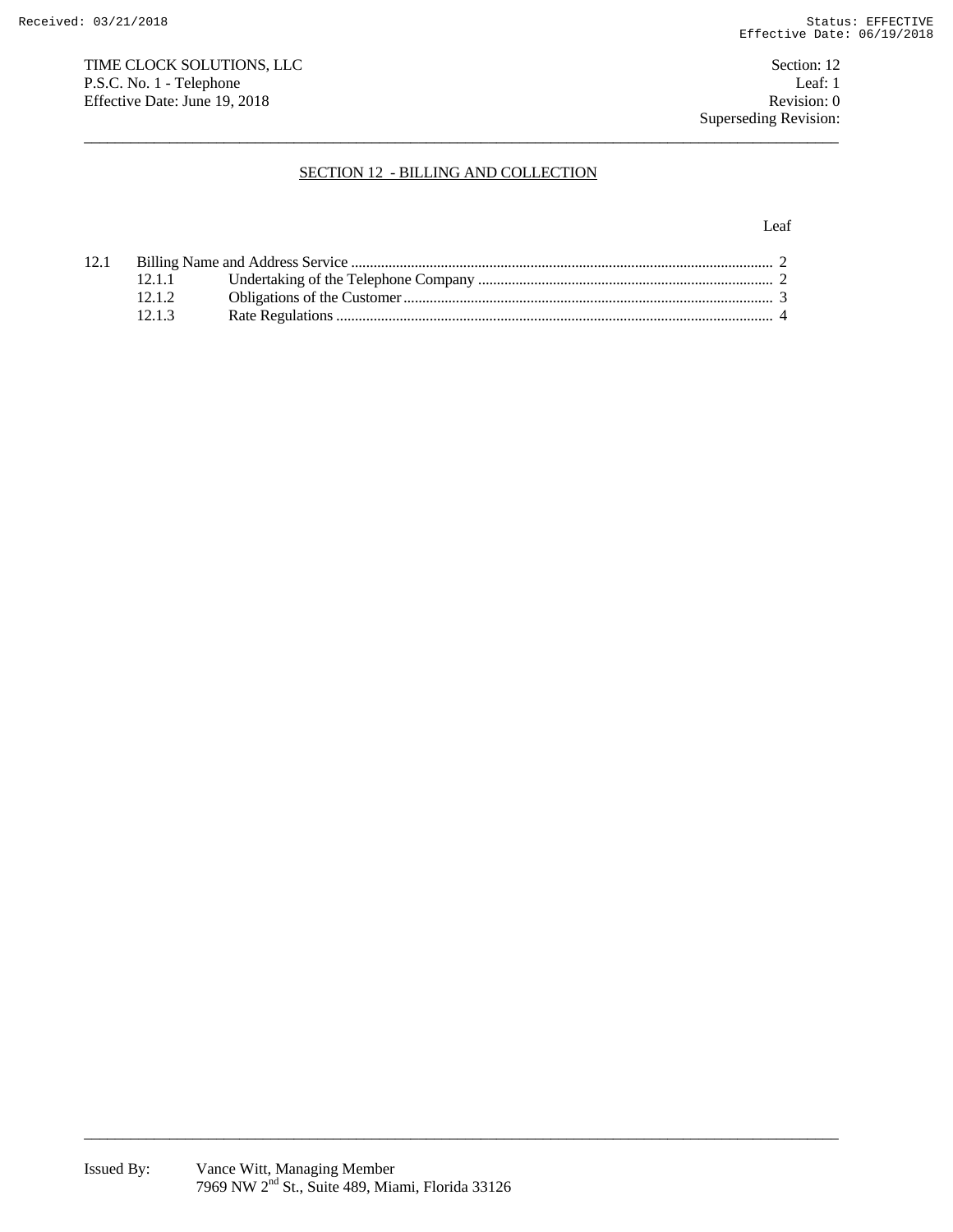TIME CLOCK SOLUTIONS, LLC<br>Section: 12 P.S.C. No. 1 - Telephone Leaf: 1<br>
Effective Date: June 19, 2018 Revision: 0 Effective Date: June 19, 2018

Superseding Revision:

# SECTION 12 - BILLING AND COLLECTION

 $\overline{a_1}$  ,  $\overline{a_2}$  ,  $\overline{a_3}$  ,  $\overline{a_4}$  ,  $\overline{a_5}$  ,  $\overline{a_6}$  ,  $\overline{a_7}$  ,  $\overline{a_8}$  ,  $\overline{a_9}$  ,  $\overline{a_9}$  ,  $\overline{a_9}$  ,  $\overline{a_9}$  ,  $\overline{a_9}$  ,  $\overline{a_9}$  ,  $\overline{a_9}$  ,  $\overline{a_9}$  ,  $\overline{a_9}$  ,

#### Leaf

| 12.1 |        |  |  |
|------|--------|--|--|
|      | 12.1.1 |  |  |
|      | 12.12  |  |  |
|      | 1213   |  |  |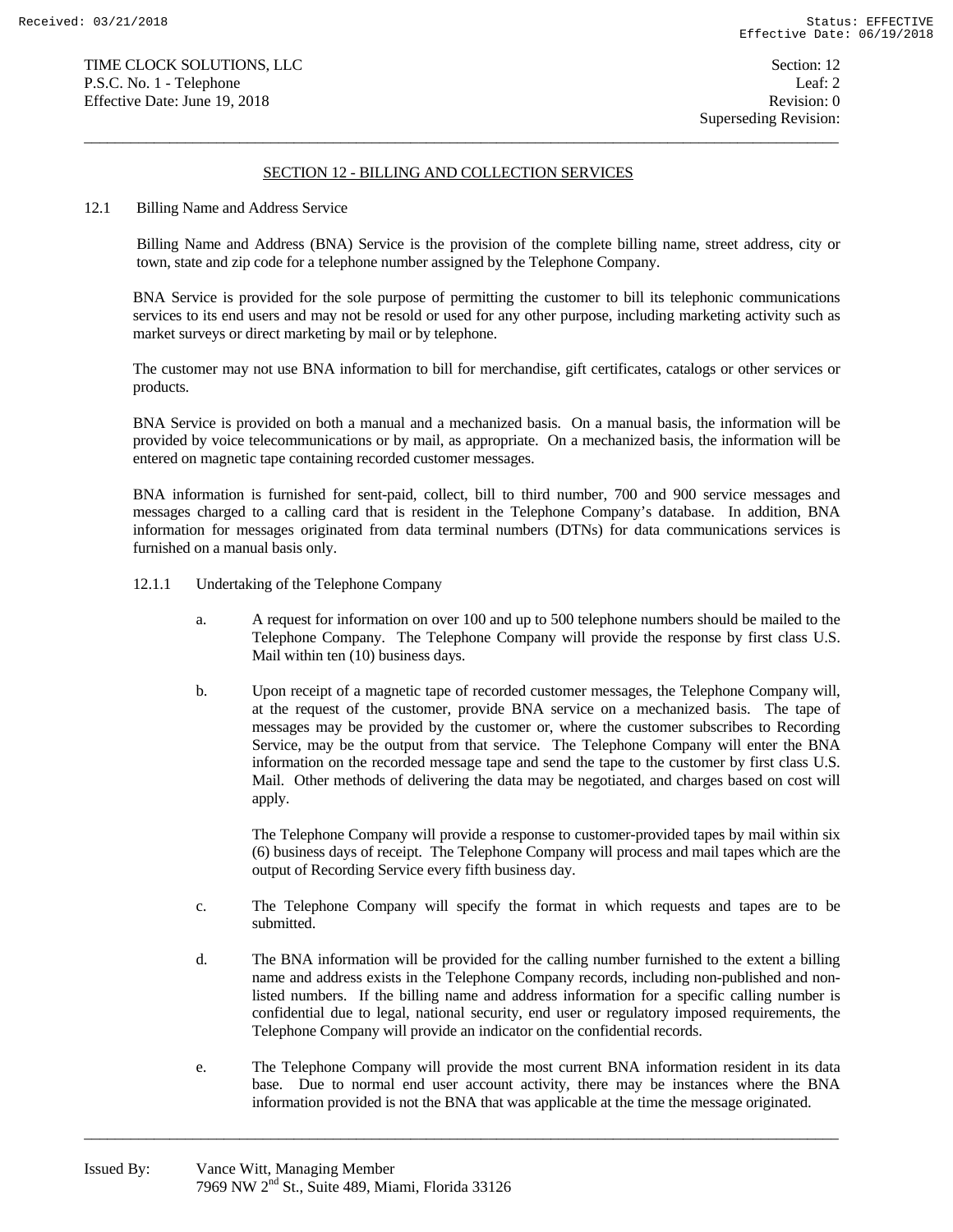## SECTION 12 - BILLING AND COLLECTION SERVICES

 $\overline{a_1}$  ,  $\overline{a_2}$  ,  $\overline{a_3}$  ,  $\overline{a_4}$  ,  $\overline{a_5}$  ,  $\overline{a_6}$  ,  $\overline{a_7}$  ,  $\overline{a_8}$  ,  $\overline{a_9}$  ,  $\overline{a_9}$  ,  $\overline{a_9}$  ,  $\overline{a_9}$  ,  $\overline{a_9}$  ,  $\overline{a_9}$  ,  $\overline{a_9}$  ,  $\overline{a_9}$  ,  $\overline{a_9}$  ,

12.1 Billing Name and Address Service

 Billing Name and Address (BNA) Service is the provision of the complete billing name, street address, city or town, state and zip code for a telephone number assigned by the Telephone Company.

 BNA Service is provided for the sole purpose of permitting the customer to bill its telephonic communications services to its end users and may not be resold or used for any other purpose, including marketing activity such as market surveys or direct marketing by mail or by telephone.

 The customer may not use BNA information to bill for merchandise, gift certificates, catalogs or other services or products.

 BNA Service is provided on both a manual and a mechanized basis. On a manual basis, the information will be provided by voice telecommunications or by mail, as appropriate. On a mechanized basis, the information will be entered on magnetic tape containing recorded customer messages.

 BNA information is furnished for sent-paid, collect, bill to third number, 700 and 900 service messages and messages charged to a calling card that is resident in the Telephone Company's database. In addition, BNA information for messages originated from data terminal numbers (DTNs) for data communications services is furnished on a manual basis only.

- 12.1.1 Undertaking of the Telephone Company
	- a. A request for information on over 100 and up to 500 telephone numbers should be mailed to the Telephone Company. The Telephone Company will provide the response by first class U.S. Mail within ten (10) business days.
	- b. Upon receipt of a magnetic tape of recorded customer messages, the Telephone Company will, at the request of the customer, provide BNA service on a mechanized basis. The tape of messages may be provided by the customer or, where the customer subscribes to Recording Service, may be the output from that service. The Telephone Company will enter the BNA information on the recorded message tape and send the tape to the customer by first class U.S. Mail. Other methods of delivering the data may be negotiated, and charges based on cost will apply.

 The Telephone Company will provide a response to customer-provided tapes by mail within six (6) business days of receipt. The Telephone Company will process and mail tapes which are the output of Recording Service every fifth business day.

- c. The Telephone Company will specify the format in which requests and tapes are to be submitted.
- d. The BNA information will be provided for the calling number furnished to the extent a billing name and address exists in the Telephone Company records, including non-published and nonlisted numbers. If the billing name and address information for a specific calling number is confidential due to legal, national security, end user or regulatory imposed requirements, the Telephone Company will provide an indicator on the confidential records.
- e. The Telephone Company will provide the most current BNA information resident in its data base. Due to normal end user account activity, there may be instances where the BNA information provided is not the BNA that was applicable at the time the message originated.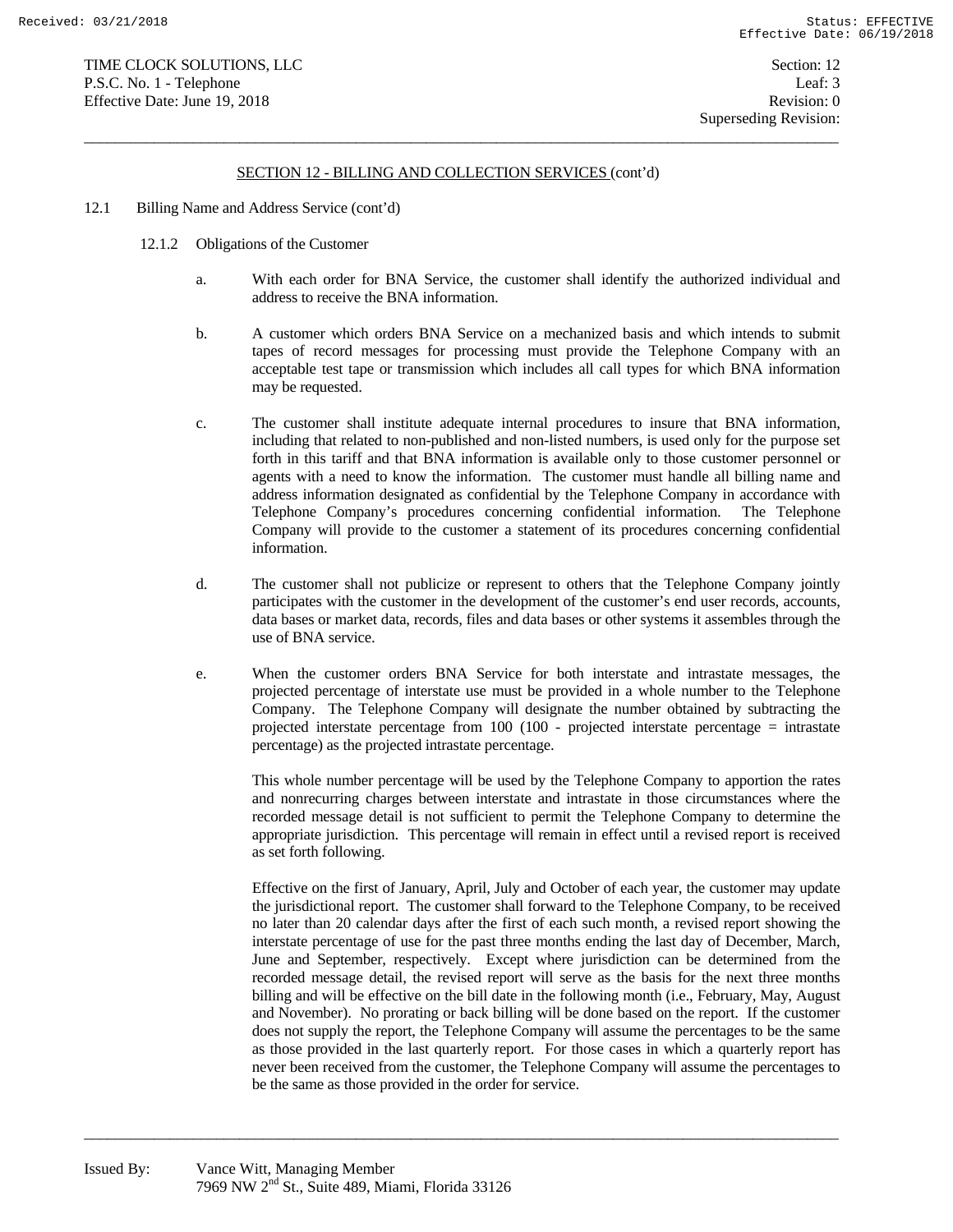## SECTION 12 - BILLING AND COLLECTION SERVICES (cont'd)

 $\overline{a_1}$  ,  $\overline{a_2}$  ,  $\overline{a_3}$  ,  $\overline{a_4}$  ,  $\overline{a_5}$  ,  $\overline{a_6}$  ,  $\overline{a_7}$  ,  $\overline{a_8}$  ,  $\overline{a_9}$  ,  $\overline{a_9}$  ,  $\overline{a_9}$  ,  $\overline{a_9}$  ,  $\overline{a_9}$  ,  $\overline{a_9}$  ,  $\overline{a_9}$  ,  $\overline{a_9}$  ,  $\overline{a_9}$  ,

- 12.1 Billing Name and Address Service (cont'd)
	- 12.1.2 Obligations of the Customer
		- a. With each order for BNA Service, the customer shall identify the authorized individual and address to receive the BNA information.
		- b. A customer which orders BNA Service on a mechanized basis and which intends to submit tapes of record messages for processing must provide the Telephone Company with an acceptable test tape or transmission which includes all call types for which BNA information may be requested.
		- c. The customer shall institute adequate internal procedures to insure that BNA information, including that related to non-published and non-listed numbers, is used only for the purpose set forth in this tariff and that BNA information is available only to those customer personnel or agents with a need to know the information. The customer must handle all billing name and address information designated as confidential by the Telephone Company in accordance with Telephone Company's procedures concerning confidential information. The Telephone Company will provide to the customer a statement of its procedures concerning confidential information.
		- d. The customer shall not publicize or represent to others that the Telephone Company jointly participates with the customer in the development of the customer's end user records, accounts, data bases or market data, records, files and data bases or other systems it assembles through the use of BNA service.
		- e. When the customer orders BNA Service for both interstate and intrastate messages, the projected percentage of interstate use must be provided in a whole number to the Telephone Company. The Telephone Company will designate the number obtained by subtracting the projected interstate percentage from 100 (100 - projected interstate percentage = intrastate percentage) as the projected intrastate percentage.

 This whole number percentage will be used by the Telephone Company to apportion the rates and nonrecurring charges between interstate and intrastate in those circumstances where the recorded message detail is not sufficient to permit the Telephone Company to determine the appropriate jurisdiction. This percentage will remain in effect until a revised report is received as set forth following.

 Effective on the first of January, April, July and October of each year, the customer may update the jurisdictional report. The customer shall forward to the Telephone Company, to be received no later than 20 calendar days after the first of each such month, a revised report showing the interstate percentage of use for the past three months ending the last day of December, March, June and September, respectively. Except where jurisdiction can be determined from the recorded message detail, the revised report will serve as the basis for the next three months billing and will be effective on the bill date in the following month (i.e., February, May, August and November). No prorating or back billing will be done based on the report. If the customer does not supply the report, the Telephone Company will assume the percentages to be the same as those provided in the last quarterly report. For those cases in which a quarterly report has never been received from the customer, the Telephone Company will assume the percentages to be the same as those provided in the order for service.